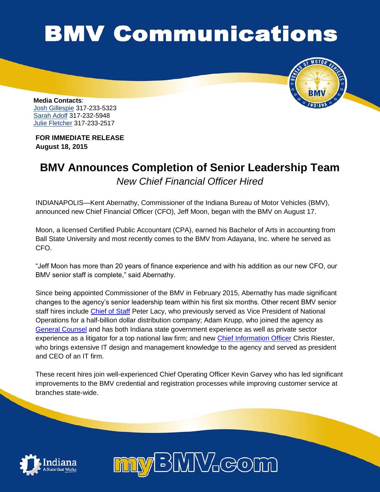## **BMV Communications**



**Media Contacts**: [Josh Gillespie](mailto:jogillespie@bmv.in.gov) 317-233-5323 [Sarah Adolf](mailto:saadolf@bmv.in.gov) 317-232-5948 [Julie Fletcher](mailto:jufletcher@bmv.in.gov) 317-233-2517

**FOR IMMEDIATE RELEASE August 18, 2015**

## **BMV Announces Completion of Senior Leadership Team** *New Chief Financial Officer Hired*

INDIANAPOLIS—Kent Abernathy, Commissioner of the Indiana Bureau of Motor Vehicles (BMV), announced new Chief Financial Officer (CFO), Jeff Moon, began with the BMV on August 17.

Moon, a licensed Certified Public Accountant (CPA), earned his Bachelor of Arts in accounting from Ball State University and most recently comes to the BMV from Adayana, Inc. where he served as CFO.

"Jeff Moon has more than 20 years of finance experience and with his addition as our new CFO, our BMV senior staff is complete," said Abernathy.

Since being appointed Commissioner of the BMV in February 2015, Abernathy has made significant changes to the agency's senior leadership team within his first six months. Other recent BMV senior staff hires include [Chief of Staff](http://www.in.gov/bmv/files/BMV_Announces_New_Chief_of_Staff.pdf) Peter Lacy, who previously served as Vice President of National Operations for a half-billion dollar distribution company; Adam Krupp, who joined the agency as [General Counsel](http://www.in.gov/bmv/files/BMV_Announces_New_General_Counsel.pdf) and has both Indiana state government experience as well as private sector experience as a litigator for a top national law firm; and new [Chief Information Officer](http://www.in.gov/bmv/files/BMV_Announces_New_General_Counsel.pdf) Chris Riester, who brings extensive IT design and management knowledge to the agency and served as president and CEO of an IT firm.

These recent hires join well-experienced Chief Operating Officer Kevin Garvey who has led significant improvements to the BMV credential and registration processes while improving customer service at branches state-wide.